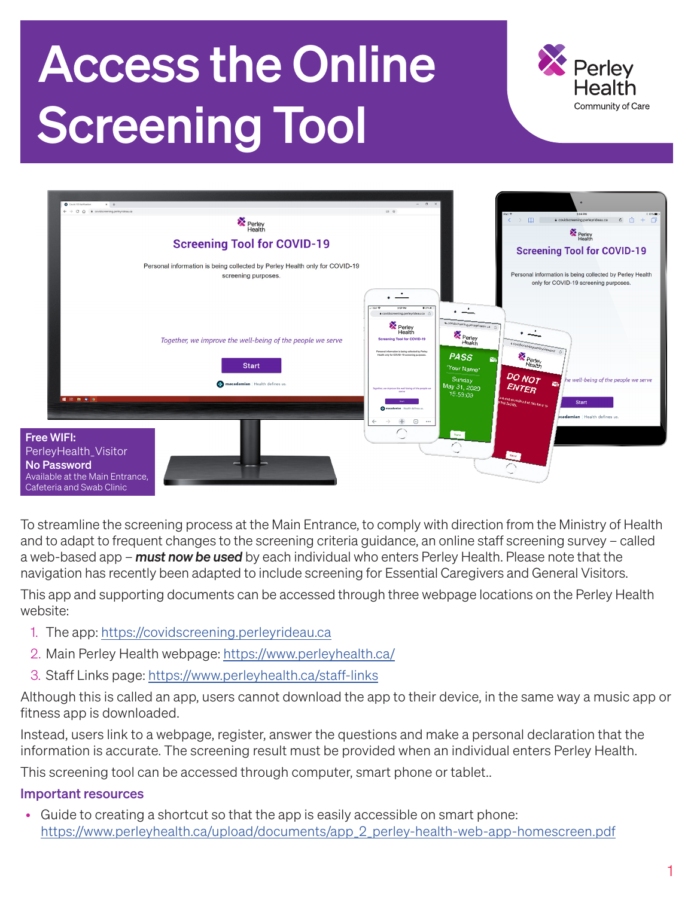# Access the Online Screening Tool





To streamline the screening process at the Main Entrance, to comply with direction from the Ministry of Health and to adapt to frequent changes to the screening criteria guidance, an online staff screening survey – called a web-based app – *must now be used* by each individual who enters Perley Health. Please note that the navigation has recently been adapted to include screening for Essential Caregivers and General Visitors.

This app and supporting documents can be accessed through three webpage locations on the Perley Health website:

- 1. The app:<https://covidscreening.perleyrideau.ca>
- 2. Main Perley Health webpage:<https://www.perleyhealth.ca/>
- 3. Staff Links page: <https://www.perleyhealth.ca/staff-links>

Although this is called an app, users cannot download the app to their device, in the same way a music app or fitness app is downloaded.

Instead, users link to a webpage, register, answer the questions and make a personal declaration that the information is accurate. The screening result must be provided when an individual enters Perley Health.

This screening tool can be accessed through computer, smart phone or tablet..

### Important resources

• Guide to creating a shortcut so that the app is easily accessible on smart phone: [https://www.perleyhealth.ca/upload/documents/app\\_2\\_perley-health-web-app-homescreen.pdf](https://www.perleyrideau.ca/upload/documents/app_2_perley-rideau-web-app-homescreen.pdf)